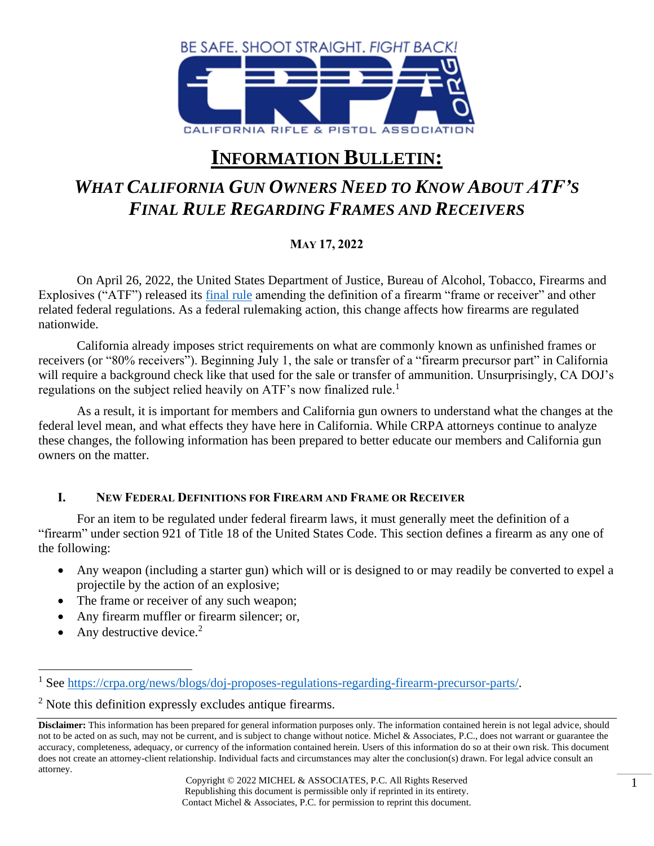

# **INFORMATION BULLETIN:**

## *WHAT CALIFORNIA GUN OWNERS NEED TO KNOW ABOUT ATF'S FINAL RULE REGARDING FRAMES AND RECEIVERS*

## **MAY 17, 2022**

On April 26, 2022, the United States Department of Justice, Bureau of Alcohol, Tobacco, Firearms and Explosives ("ATF") released its [final rule](https://www.govinfo.gov/content/pkg/FR-2022-04-26/pdf/2022-08026.pdf) amending the definition of a firearm "frame or receiver" and other related federal regulations. As a federal rulemaking action, this change affects how firearms are regulated nationwide.

California already imposes strict requirements on what are commonly known as unfinished frames or receivers (or "80% receivers"). Beginning July 1, the sale or transfer of a "firearm precursor part" in California will require a background check like that used for the sale or transfer of ammunition. Unsurprisingly, CA DOJ's regulations on the subject relied heavily on ATF's now finalized rule.<sup>1</sup>

As a result, it is important for members and California gun owners to understand what the changes at the federal level mean, and what effects they have here in California. While CRPA attorneys continue to analyze these changes, the following information has been prepared to better educate our members and California gun owners on the matter.

#### **I. NEW FEDERAL DEFINITIONS FOR FIREARM AND FRAME OR RECEIVER**

For an item to be regulated under federal firearm laws, it must generally meet the definition of a "firearm" under section 921 of Title 18 of the United States Code. This section defines a firearm as any one of the following:

- Any weapon (including a starter gun) which will or is designed to or may readily be converted to expel a projectile by the action of an explosive;
- The frame or receiver of any such weapon;
- Any firearm muffler or firearm silencer; or,
- Any destructive device.<sup>2</sup>

<sup>1</sup> See [https://crpa.org/news/blogs/doj-proposes-regulations-regarding-firearm-precursor-parts/.](https://crpa.org/news/blogs/doj-proposes-regulations-regarding-firearm-precursor-parts/)

<sup>&</sup>lt;sup>2</sup> Note this definition expressly excludes antique firearms.

**Disclaimer:** This information has been prepared for general information purposes only. The information contained herein is not legal advice, should not to be acted on as such, may not be current, and is subject to change without notice. Michel & Associates, P.C., does not warrant or guarantee the accuracy, completeness, adequacy, or currency of the information contained herein. Users of this information do so at their own risk. This document does not create an attorney-client relationship. Individual facts and circumstances may alter the conclusion(s) drawn. For legal advice consult an attorney.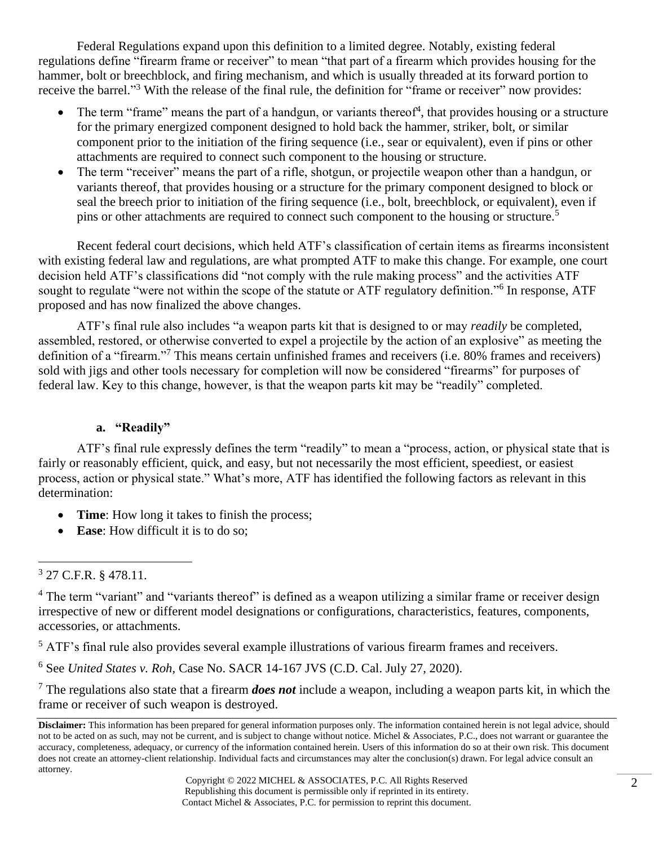Federal Regulations expand upon this definition to a limited degree. Notably, existing federal regulations define "firearm frame or receiver" to mean "that part of a firearm which provides housing for the hammer, bolt or breechblock, and firing mechanism, and which is usually threaded at its forward portion to receive the barrel."<sup>3</sup> With the release of the final rule, the definition for "frame or receiver" now provides:

- The term "frame" means the part of a handgun, or variants thereof<sup>4</sup>, that provides housing or a structure for the primary energized component designed to hold back the hammer, striker, bolt, or similar component prior to the initiation of the firing sequence (i.e., sear or equivalent), even if pins or other attachments are required to connect such component to the housing or structure.
- The term "receiver" means the part of a rifle, shotgun, or projectile weapon other than a handgun, or variants thereof, that provides housing or a structure for the primary component designed to block or seal the breech prior to initiation of the firing sequence (i.e., bolt, breechblock, or equivalent), even if pins or other attachments are required to connect such component to the housing or structure.<sup>5</sup>

Recent federal court decisions, which held ATF's classification of certain items as firearms inconsistent with existing federal law and regulations, are what prompted ATF to make this change. For example, one court decision held ATF's classifications did "not comply with the rule making process" and the activities ATF sought to regulate "were not within the scope of the statute or ATF regulatory definition."<sup>6</sup> In response, ATF proposed and has now finalized the above changes.

ATF's final rule also includes "a weapon parts kit that is designed to or may *readily* be completed, assembled, restored, or otherwise converted to expel a projectile by the action of an explosive" as meeting the definition of a "firearm."<sup>7</sup> This means certain unfinished frames and receivers (i.e. 80% frames and receivers) sold with jigs and other tools necessary for completion will now be considered "firearms" for purposes of federal law. Key to this change, however, is that the weapon parts kit may be "readily" completed.

#### **a. "Readily"**

ATF's final rule expressly defines the term "readily" to mean a "process, action, or physical state that is fairly or reasonably efficient, quick, and easy, but not necessarily the most efficient, speediest, or easiest process, action or physical state." What's more, ATF has identified the following factors as relevant in this determination:

- **Time**: How long it takes to finish the process;
- **Ease**: How difficult it is to do so;

<sup>5</sup> ATF's final rule also provides several example illustrations of various firearm frames and receivers.

<sup>6</sup> See *United States v. Roh*, Case No. SACR 14-167 JVS (C.D. Cal. July 27, 2020).

<sup>7</sup> The regulations also state that a firearm *does not* include a weapon, including a weapon parts kit, in which the frame or receiver of such weapon is destroyed.

<sup>3</sup> 27 C.F.R. § 478.11.

<sup>&</sup>lt;sup>4</sup> The term "variant" and "variants thereof" is defined as a weapon utilizing a similar frame or receiver design irrespective of new or different model designations or configurations, characteristics, features, components, accessories, or attachments.

**Disclaimer:** This information has been prepared for general information purposes only. The information contained herein is not legal advice, should not to be acted on as such, may not be current, and is subject to change without notice. Michel & Associates, P.C., does not warrant or guarantee the accuracy, completeness, adequacy, or currency of the information contained herein. Users of this information do so at their own risk. This document does not create an attorney-client relationship. Individual facts and circumstances may alter the conclusion(s) drawn. For legal advice consult an attorney.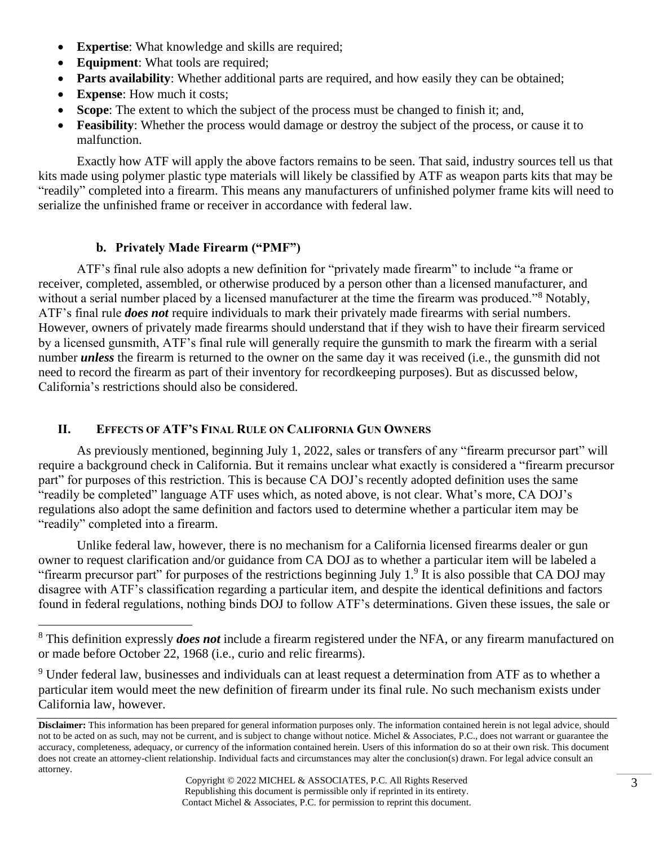- **Expertise**: What knowledge and skills are required;
- **Equipment:** What tools are required;
- **Parts availability**: Whether additional parts are required, and how easily they can be obtained;
- **Expense**: How much it costs;
- **Scope**: The extent to which the subject of the process must be changed to finish it; and,
- **Feasibility:** Whether the process would damage or destroy the subject of the process, or cause it to malfunction.

Exactly how ATF will apply the above factors remains to be seen. That said, industry sources tell us that kits made using polymer plastic type materials will likely be classified by ATF as weapon parts kits that may be "readily" completed into a firearm. This means any manufacturers of unfinished polymer frame kits will need to serialize the unfinished frame or receiver in accordance with federal law.

### **b. Privately Made Firearm ("PMF")**

ATF's final rule also adopts a new definition for "privately made firearm" to include "a frame or receiver, completed, assembled, or otherwise produced by a person other than a licensed manufacturer, and without a serial number placed by a licensed manufacturer at the time the firearm was produced."<sup>8</sup> Notably, ATF's final rule *does not* require individuals to mark their privately made firearms with serial numbers. However, owners of privately made firearms should understand that if they wish to have their firearm serviced by a licensed gunsmith, ATF's final rule will generally require the gunsmith to mark the firearm with a serial number *unless* the firearm is returned to the owner on the same day it was received (i.e., the gunsmith did not need to record the firearm as part of their inventory for recordkeeping purposes). But as discussed below, California's restrictions should also be considered.

### **II. EFFECTS OF ATF'S FINAL RULE ON CALIFORNIA GUN OWNERS**

As previously mentioned, beginning July 1, 2022, sales or transfers of any "firearm precursor part" will require a background check in California. But it remains unclear what exactly is considered a "firearm precursor part" for purposes of this restriction. This is because CA DOJ's recently adopted definition uses the same "readily be completed" language ATF uses which, as noted above, is not clear. What's more, CA DOJ's regulations also adopt the same definition and factors used to determine whether a particular item may be "readily" completed into a firearm.

Unlike federal law, however, there is no mechanism for a California licensed firearms dealer or gun owner to request clarification and/or guidance from CA DOJ as to whether a particular item will be labeled a "firearm precursor part" for purposes of the restrictions beginning July  $1<sup>9</sup>$  It is also possible that CA DOJ may disagree with ATF's classification regarding a particular item, and despite the identical definitions and factors found in federal regulations, nothing binds DOJ to follow ATF's determinations. Given these issues, the sale or

<sup>9</sup> Under federal law, businesses and individuals can at least request a determination from ATF as to whether a particular item would meet the new definition of firearm under its final rule. No such mechanism exists under California law, however.

<sup>8</sup> This definition expressly *does not* include a firearm registered under the NFA, or any firearm manufactured on or made before October 22, 1968 (i.e., curio and relic firearms).

**Disclaimer:** This information has been prepared for general information purposes only. The information contained herein is not legal advice, should not to be acted on as such, may not be current, and is subject to change without notice. Michel & Associates, P.C., does not warrant or guarantee the accuracy, completeness, adequacy, or currency of the information contained herein. Users of this information do so at their own risk. This document does not create an attorney-client relationship. Individual facts and circumstances may alter the conclusion(s) drawn. For legal advice consult an attorney.